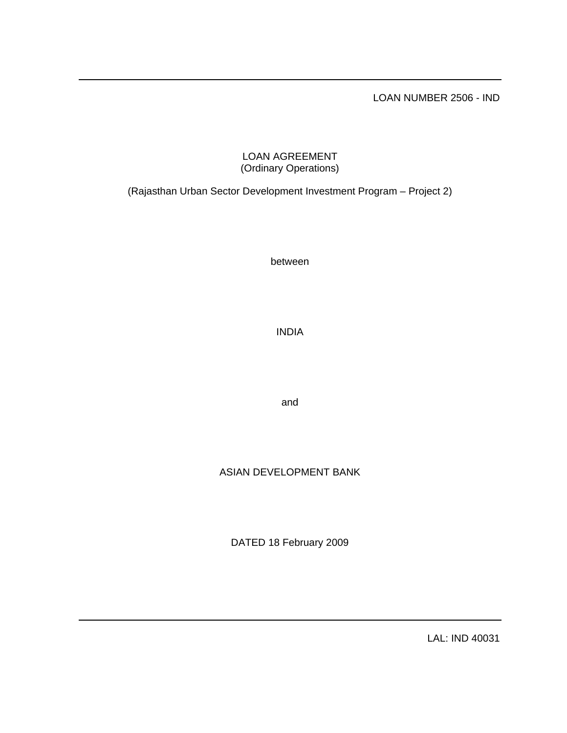LOAN NUMBER 2506 - IND

# LOAN AGREEMENT (Ordinary Operations)

(Rajasthan Urban Sector Development Investment Program – Project 2)

between

INDIA

and

# ASIAN DEVELOPMENT BANK

DATED 18 February 2009

LAL: IND 40031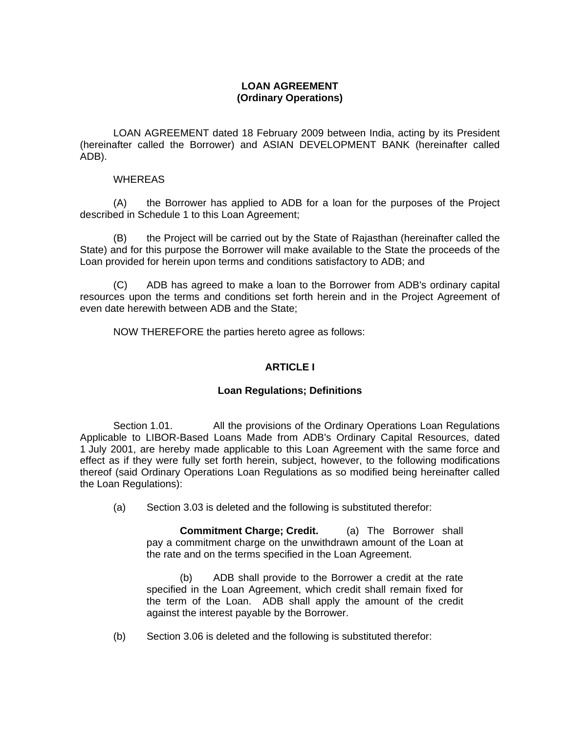# **LOAN AGREEMENT (Ordinary Operations)**

LOAN AGREEMENT dated 18 February 2009 between India, acting by its President (hereinafter called the Borrower) and ASIAN DEVELOPMENT BANK (hereinafter called ADB).

## WHEREAS

 (A) the Borrower has applied to ADB for a loan for the purposes of the Project described in Schedule 1 to this Loan Agreement;

 (B) the Project will be carried out by the State of Rajasthan (hereinafter called the State) and for this purpose the Borrower will make available to the State the proceeds of the Loan provided for herein upon terms and conditions satisfactory to ADB; and

 (C) ADB has agreed to make a loan to the Borrower from ADB's ordinary capital resources upon the terms and conditions set forth herein and in the Project Agreement of even date herewith between ADB and the State;

NOW THEREFORE the parties hereto agree as follows:

# **ARTICLE I**

## **Loan Regulations; Definitions**

 Section 1.01. All the provisions of the Ordinary Operations Loan Regulations Applicable to LIBOR-Based Loans Made from ADB's Ordinary Capital Resources, dated 1 July 2001, are hereby made applicable to this Loan Agreement with the same force and effect as if they were fully set forth herein, subject, however, to the following modifications thereof (said Ordinary Operations Loan Regulations as so modified being hereinafter called the Loan Regulations):

(a) Section 3.03 is deleted and the following is substituted therefor:

**Commitment Charge; Credit.** (a) The Borrower shall pay a commitment charge on the unwithdrawn amount of the Loan at the rate and on the terms specified in the Loan Agreement.

(b) ADB shall provide to the Borrower a credit at the rate specified in the Loan Agreement, which credit shall remain fixed for the term of the Loan. ADB shall apply the amount of the credit against the interest payable by the Borrower.

(b) Section 3.06 is deleted and the following is substituted therefor: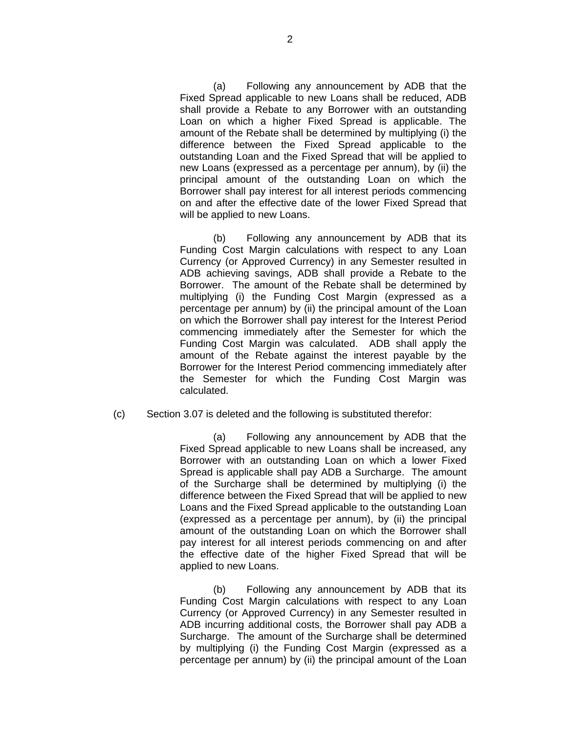(a) Following any announcement by ADB that the Fixed Spread applicable to new Loans shall be reduced, ADB shall provide a Rebate to any Borrower with an outstanding Loan on which a higher Fixed Spread is applicable. The amount of the Rebate shall be determined by multiplying (i) the difference between the Fixed Spread applicable to the outstanding Loan and the Fixed Spread that will be applied to new Loans (expressed as a percentage per annum), by (ii) the principal amount of the outstanding Loan on which the Borrower shall pay interest for all interest periods commencing on and after the effective date of the lower Fixed Spread that will be applied to new Loans.

(b) Following any announcement by ADB that its Funding Cost Margin calculations with respect to any Loan Currency (or Approved Currency) in any Semester resulted in ADB achieving savings, ADB shall provide a Rebate to the Borrower. The amount of the Rebate shall be determined by multiplying (i) the Funding Cost Margin (expressed as a percentage per annum) by (ii) the principal amount of the Loan on which the Borrower shall pay interest for the Interest Period commencing immediately after the Semester for which the Funding Cost Margin was calculated. ADB shall apply the amount of the Rebate against the interest payable by the Borrower for the Interest Period commencing immediately after the Semester for which the Funding Cost Margin was calculated.

### (c) Section 3.07 is deleted and the following is substituted therefor:

(a) Following any announcement by ADB that the Fixed Spread applicable to new Loans shall be increased, any Borrower with an outstanding Loan on which a lower Fixed Spread is applicable shall pay ADB a Surcharge. The amount of the Surcharge shall be determined by multiplying (i) the difference between the Fixed Spread that will be applied to new Loans and the Fixed Spread applicable to the outstanding Loan (expressed as a percentage per annum), by (ii) the principal amount of the outstanding Loan on which the Borrower shall pay interest for all interest periods commencing on and after the effective date of the higher Fixed Spread that will be applied to new Loans.

(b) Following any announcement by ADB that its Funding Cost Margin calculations with respect to any Loan Currency (or Approved Currency) in any Semester resulted in ADB incurring additional costs, the Borrower shall pay ADB a Surcharge. The amount of the Surcharge shall be determined by multiplying (i) the Funding Cost Margin (expressed as a percentage per annum) by (ii) the principal amount of the Loan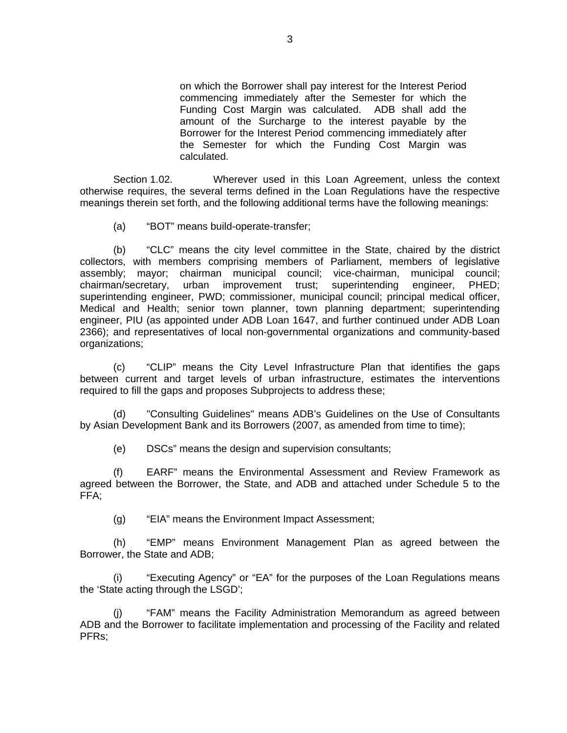on which the Borrower shall pay interest for the Interest Period commencing immediately after the Semester for which the Funding Cost Margin was calculated. ADB shall add the amount of the Surcharge to the interest payable by the Borrower for the Interest Period commencing immediately after the Semester for which the Funding Cost Margin was calculated.

 Section 1.02. Wherever used in this Loan Agreement, unless the context otherwise requires, the several terms defined in the Loan Regulations have the respective meanings therein set forth, and the following additional terms have the following meanings:

(a) "BOT" means build-operate-transfer;

(b) "CLC" means the city level committee in the State, chaired by the district collectors, with members comprising members of Parliament, members of legislative assembly; mayor; chairman municipal council; vice-chairman, municipal council; chairman/secretary, urban improvement trust; superintending engineer, PHED; superintending engineer, PWD; commissioner, municipal council; principal medical officer, Medical and Health; senior town planner, town planning department; superintending engineer, PIU (as appointed under ADB Loan 1647, and further continued under ADB Loan 2366); and representatives of local non-governmental organizations and community-based organizations;

(c) "CLIP" means the City Level Infrastructure Plan that identifies the gaps between current and target levels of urban infrastructure, estimates the interventions required to fill the gaps and proposes Subprojects to address these;

(d) "Consulting Guidelines" means ADB's Guidelines on the Use of Consultants by Asian Development Bank and its Borrowers (2007, as amended from time to time);

(e) DSCs" means the design and supervision consultants;

(f) EARF" means the Environmental Assessment and Review Framework as agreed between the Borrower, the State, and ADB and attached under Schedule 5 to the FFA;

(g) "EIA" means the Environment Impact Assessment;

(h) "EMP" means Environment Management Plan as agreed between the Borrower, the State and ADB;

(i) "Executing Agency" or "EA" for the purposes of the Loan Regulations means the 'State acting through the LSGD';

(j) "FAM" means the Facility Administration Memorandum as agreed between ADB and the Borrower to facilitate implementation and processing of the Facility and related PFRs;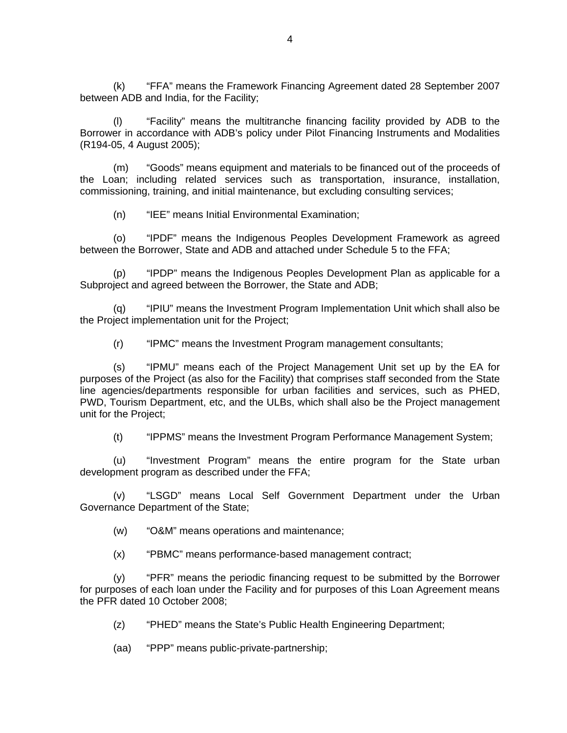(k) "FFA" means the Framework Financing Agreement dated 28 September 2007 between ADB and India, for the Facility;

(l) "Facility" means the multitranche financing facility provided by ADB to the Borrower in accordance with ADB's policy under Pilot Financing Instruments and Modalities (R194-05, 4 August 2005);

(m) "Goods" means equipment and materials to be financed out of the proceeds of the Loan; including related services such as transportation, insurance, installation, commissioning, training, and initial maintenance, but excluding consulting services;

(n) "IEE" means Initial Environmental Examination;

(o) "IPDF" means the Indigenous Peoples Development Framework as agreed between the Borrower, State and ADB and attached under Schedule 5 to the FFA;

(p) "IPDP" means the Indigenous Peoples Development Plan as applicable for a Subproject and agreed between the Borrower, the State and ADB;

(q) "IPIU" means the Investment Program Implementation Unit which shall also be the Project implementation unit for the Project;

(r) "IPMC" means the Investment Program management consultants;

(s) "IPMU" means each of the Project Management Unit set up by the EA for purposes of the Project (as also for the Facility) that comprises staff seconded from the State line agencies/departments responsible for urban facilities and services, such as PHED, PWD, Tourism Department, etc, and the ULBs, which shall also be the Project management unit for the Project;

(t) "IPPMS" means the Investment Program Performance Management System;

(u) "Investment Program" means the entire program for the State urban development program as described under the FFA;

(v) "LSGD" means Local Self Government Department under the Urban Governance Department of the State;

(w) "O&M" means operations and maintenance;

(x) "PBMC" means performance-based management contract;

(y) "PFR" means the periodic financing request to be submitted by the Borrower for purposes of each loan under the Facility and for purposes of this Loan Agreement means the PFR dated 10 October 2008;

(z) "PHED" means the State's Public Health Engineering Department;

(aa) "PPP" means public-private-partnership;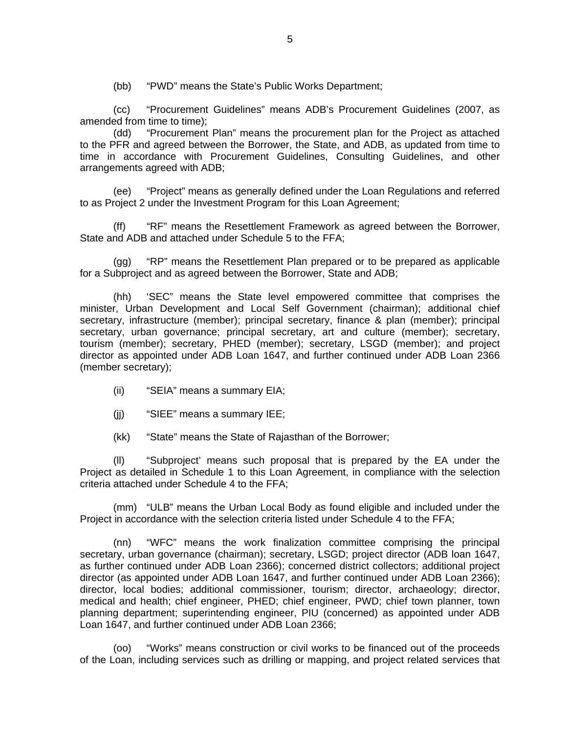(bb) "PWD" means the State's Public Works Department;

(cc) "Procurement Guidelines" means ADB's Procurement Guidelines (2007, as amended from time to time);

(dd) "Procurement Plan" means the procurement plan for the Project as attached to the PFR and agreed between the Borrower, the State, and ADB, as updated from time to time in accordance with Procurement Guidelines, Consulting Guidelines, and other arrangements agreed with ADB;

(ee) "Project" means as generally defined under the Loan Regulations and referred to as Project 2 under the Investment Program for this Loan Agreement;

(ff) "RF" means the Resettlement Framework as agreed between the Borrower, State and ADB and attached under Schedule 5 to the FFA;

(gg) "RP" means the Resettlement Plan prepared or to be prepared as applicable for a Subproject and as agreed between the Borrower, State and ADB;

(hh) 'SEC" means the State level empowered committee that comprises the minister, Urban Development and Local Self Government (chairman); additional chief secretary, infrastructure (member); principal secretary, finance & plan (member); principal secretary, urban governance; principal secretary, art and culture (member); secretary, tourism (member); secretary, PHED (member); secretary, LSGD (member); and project director as appointed under ADB Loan 1647, and further continued under ADB Loan 2366 (member secretary);

- (ii) "SEIA" means a summary EIA;
- (jj) "SIEE" means a summary IEE;
- (kk) "State" means the State of Rajasthan of the Borrower;

(ll) "Subproject' means such proposal that is prepared by the EA under the Project as detailed in Schedule 1 to this Loan Agreement, in compliance with the selection criteria attached under Schedule 4 to the FFA;

(mm) "ULB" means the Urban Local Body as found eligible and included under the Project in accordance with the selection criteria listed under Schedule 4 to the FFA;

(nn) "WFC" means the work finalization committee comprising the principal secretary, urban governance (chairman); secretary, LSGD; project director (ADB loan 1647, as further continued under ADB Loan 2366); concerned district collectors; additional project director (as appointed under ADB Loan 1647, and further continued under ADB Loan 2366); director, local bodies; additional commissioner, tourism; director, archaeology; director, medical and health; chief engineer, PHED; chief engineer, PWD; chief town planner, town planning department; superintending engineer, PIU (concerned) as appointed under ADB Loan 1647, and further continued under ADB Loan 2366;

(oo) "Works" means construction or civil works to be financed out of the proceeds of the Loan, including services such as drilling or mapping, and project related services that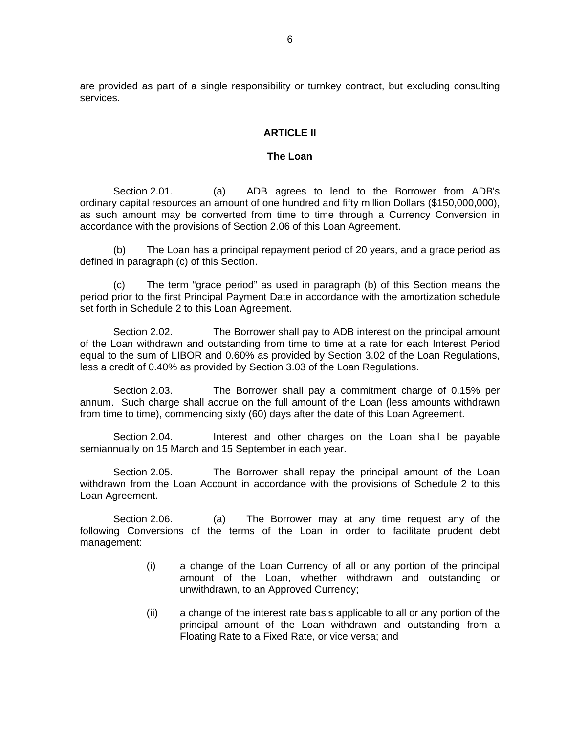are provided as part of a single responsibility or turnkey contract, but excluding consulting services.

## **ARTICLE II**

#### **The Loan**

 Section 2.01. (a) ADB agrees to lend to the Borrower from ADB's ordinary capital resources an amount of one hundred and fifty million Dollars (\$150,000,000), as such amount may be converted from time to time through a Currency Conversion in accordance with the provisions of Section 2.06 of this Loan Agreement.

(b) The Loan has a principal repayment period of 20 years, and a grace period as defined in paragraph (c) of this Section.

(c) The term "grace period" as used in paragraph (b) of this Section means the period prior to the first Principal Payment Date in accordance with the amortization schedule set forth in Schedule 2 to this Loan Agreement.

Section 2.02. The Borrower shall pay to ADB interest on the principal amount of the Loan withdrawn and outstanding from time to time at a rate for each Interest Period equal to the sum of LIBOR and 0.60% as provided by Section 3.02 of the Loan Regulations, less a credit of 0.40% as provided by Section 3.03 of the Loan Regulations.

 Section 2.03. The Borrower shall pay a commitment charge of 0.15% per annum. Such charge shall accrue on the full amount of the Loan (less amounts withdrawn from time to time), commencing sixty (60) days after the date of this Loan Agreement.

Section 2.04. Interest and other charges on the Loan shall be payable semiannually on 15 March and 15 September in each year.

 Section 2.05. The Borrower shall repay the principal amount of the Loan withdrawn from the Loan Account in accordance with the provisions of Schedule 2 to this Loan Agreement.

Section 2.06. (a) The Borrower may at any time request any of the following Conversions of the terms of the Loan in order to facilitate prudent debt management:

- (i) a change of the Loan Currency of all or any portion of the principal amount of the Loan, whether withdrawn and outstanding or unwithdrawn, to an Approved Currency;
- (ii) a change of the interest rate basis applicable to all or any portion of the principal amount of the Loan withdrawn and outstanding from a Floating Rate to a Fixed Rate, or vice versa; and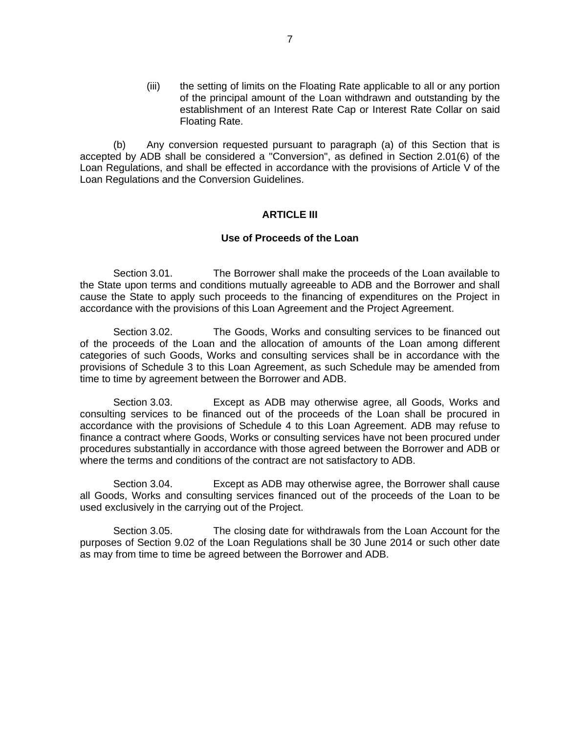(iii) the setting of limits on the Floating Rate applicable to all or any portion of the principal amount of the Loan withdrawn and outstanding by the establishment of an Interest Rate Cap or Interest Rate Collar on said Floating Rate.

(b) Any conversion requested pursuant to paragraph (a) of this Section that is accepted by ADB shall be considered a "Conversion", as defined in Section 2.01(6) of the Loan Regulations, and shall be effected in accordance with the provisions of Article V of the Loan Regulations and the Conversion Guidelines.

### **ARTICLE III**

### **Use of Proceeds of the Loan**

Section 3.01. The Borrower shall make the proceeds of the Loan available to the State upon terms and conditions mutually agreeable to ADB and the Borrower and shall cause the State to apply such proceeds to the financing of expenditures on the Project in accordance with the provisions of this Loan Agreement and the Project Agreement.

Section 3.02. The Goods, Works and consulting services to be financed out of the proceeds of the Loan and the allocation of amounts of the Loan among different categories of such Goods, Works and consulting services shall be in accordance with the provisions of Schedule 3 to this Loan Agreement, as such Schedule may be amended from time to time by agreement between the Borrower and ADB.

 Section 3.03. Except as ADB may otherwise agree, all Goods, Works and consulting services to be financed out of the proceeds of the Loan shall be procured in accordance with the provisions of Schedule 4 to this Loan Agreement. ADB may refuse to finance a contract where Goods, Works or consulting services have not been procured under procedures substantially in accordance with those agreed between the Borrower and ADB or where the terms and conditions of the contract are not satisfactory to ADB.

 Section 3.04. Except as ADB may otherwise agree, the Borrower shall cause all Goods, Works and consulting services financed out of the proceeds of the Loan to be used exclusively in the carrying out of the Project.

Section 3.05. The closing date for withdrawals from the Loan Account for the purposes of Section 9.02 of the Loan Regulations shall be 30 June 2014 or such other date as may from time to time be agreed between the Borrower and ADB.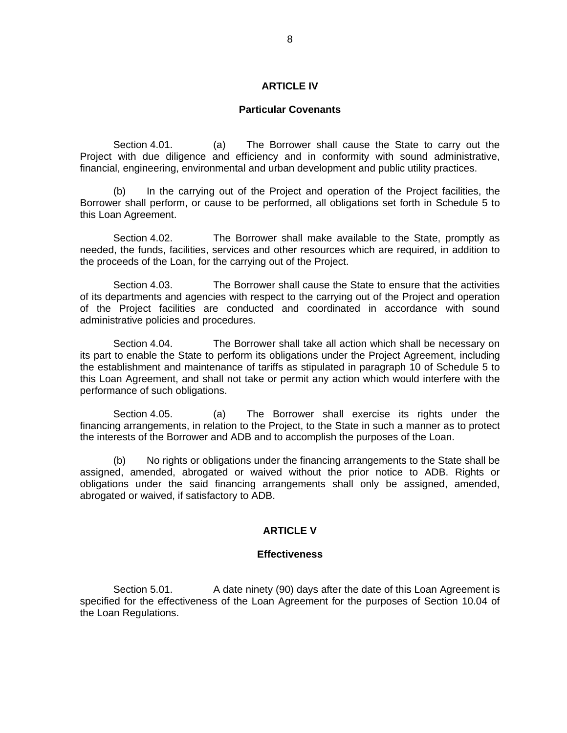### **ARTICLE IV**

### **Particular Covenants**

Section 4.01. (a) The Borrower shall cause the State to carry out the Project with due diligence and efficiency and in conformity with sound administrative, financial, engineering, environmental and urban development and public utility practices.

 (b) In the carrying out of the Project and operation of the Project facilities, the Borrower shall perform, or cause to be performed, all obligations set forth in Schedule 5 to this Loan Agreement.

Section 4.02. The Borrower shall make available to the State, promptly as needed, the funds, facilities, services and other resources which are required, in addition to the proceeds of the Loan, for the carrying out of the Project.

 Section 4.03. The Borrower shall cause the State to ensure that the activities of its departments and agencies with respect to the carrying out of the Project and operation of the Project facilities are conducted and coordinated in accordance with sound administrative policies and procedures.

 Section 4.04. The Borrower shall take all action which shall be necessary on its part to enable the State to perform its obligations under the Project Agreement, including the establishment and maintenance of tariffs as stipulated in paragraph 10 of Schedule 5 to this Loan Agreement, and shall not take or permit any action which would interfere with the performance of such obligations.

 Section 4.05. (a) The Borrower shall exercise its rights under the financing arrangements, in relation to the Project, to the State in such a manner as to protect the interests of the Borrower and ADB and to accomplish the purposes of the Loan.

(b) No rights or obligations under the financing arrangements to the State shall be assigned, amended, abrogated or waived without the prior notice to ADB. Rights or obligations under the said financing arrangements shall only be assigned, amended, abrogated or waived, if satisfactory to ADB.

### **ARTICLE V**

### **Effectiveness**

Section 5.01. A date ninety (90) days after the date of this Loan Agreement is specified for the effectiveness of the Loan Agreement for the purposes of Section 10.04 of the Loan Regulations.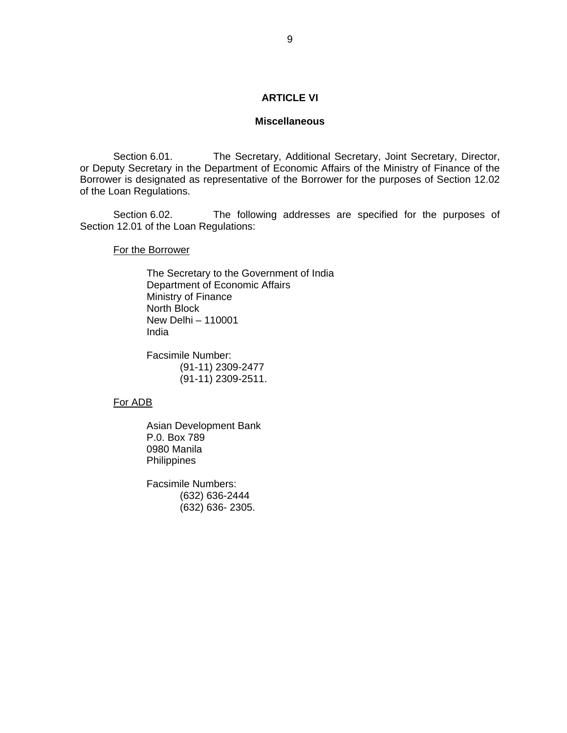## **ARTICLE VI**

### **Miscellaneous**

Section 6.01. The Secretary, Additional Secretary, Joint Secretary, Director, or Deputy Secretary in the Department of Economic Affairs of the Ministry of Finance of the Borrower is designated as representative of the Borrower for the purposes of Section 12.02 of the Loan Regulations.

 Section 6.02. The following addresses are specified for the purposes of Section 12.01 of the Loan Regulations:

For the Borrower

 The Secretary to the Government of India Department of Economic Affairs Ministry of Finance North Block New Delhi – 110001 India

Facsimile Number: (91-11) 2309-2477 (91-11) 2309-2511.

### For ADB

Asian Development Bank P.0. Box 789 0980 Manila Philippines

Facsimile Numbers: (632) 636-2444 (632) 636- 2305.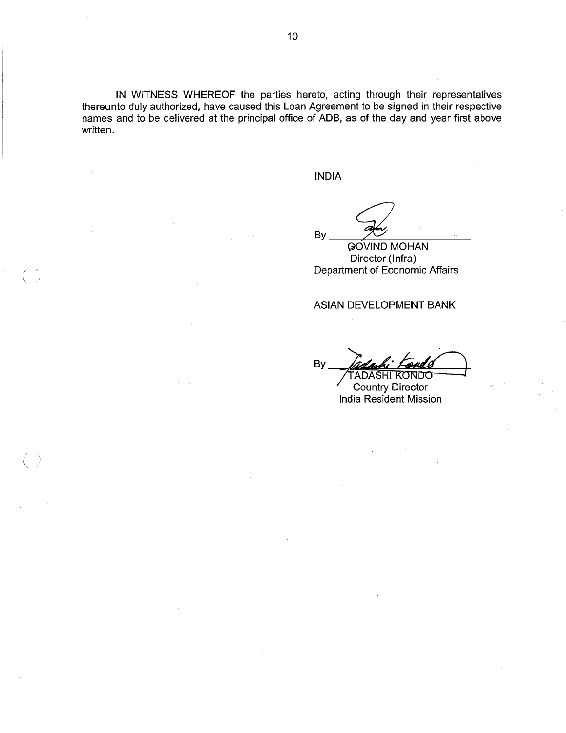IN WITNESS WHEREOF the parties hereto, acting through their representatives thereunto duly authorized, have caused this Loan Agreement to be signed in their respective names and to be delivered at the principal office of ADB, as of the day and year first above written.

**INDIA** 

By

**GOVIND MOHAN** Director (Infra) Department of Economic Affairs

ASIAN DEVELOPMENT BANK

**By** tadasi NDO

**Country Director** India Resident Mission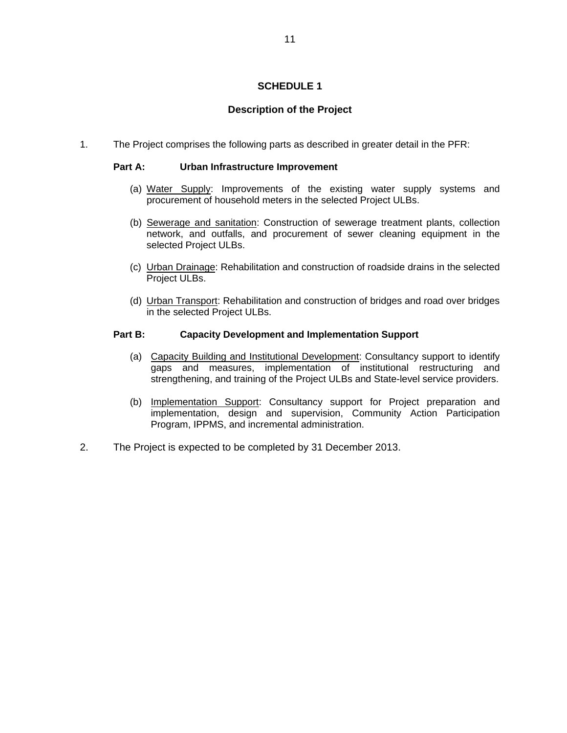# **SCHEDULE 1**

# **Description of the Project**

1. The Project comprises the following parts as described in greater detail in the PFR:

## **Part A: Urban Infrastructure Improvement**

- (a) Water Supply: Improvements of the existing water supply systems and procurement of household meters in the selected Project ULBs.
- (b) Sewerage and sanitation: Construction of sewerage treatment plants, collection network, and outfalls, and procurement of sewer cleaning equipment in the selected Project ULBs.
- (c) Urban Drainage: Rehabilitation and construction of roadside drains in the selected Project ULBs.
- (d) Urban Transport: Rehabilitation and construction of bridges and road over bridges in the selected Project ULBs.

### **Part B: Capacity Development and Implementation Support**

- (a) Capacity Building and Institutional Development: Consultancy support to identify gaps and measures, implementation of institutional restructuring and strengthening, and training of the Project ULBs and State-level service providers.
- (b) Implementation Support: Consultancy support for Project preparation and implementation, design and supervision, Community Action Participation Program, IPPMS, and incremental administration.
- 2. The Project is expected to be completed by 31 December 2013.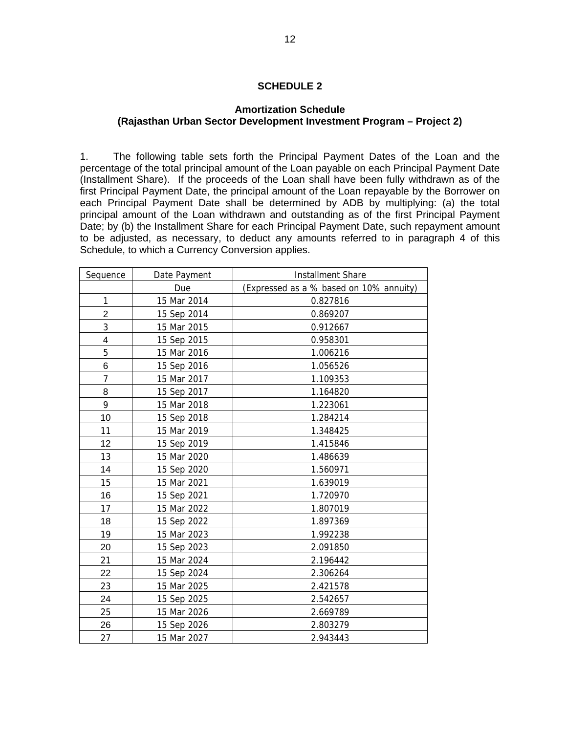## **SCHEDULE 2**

# **Amortization Schedule (Rajasthan Urban Sector Development Investment Program – Project 2)**

1. The following table sets forth the Principal Payment Dates of the Loan and the percentage of the total principal amount of the Loan payable on each Principal Payment Date (Installment Share). If the proceeds of the Loan shall have been fully withdrawn as of the first Principal Payment Date, the principal amount of the Loan repayable by the Borrower on each Principal Payment Date shall be determined by ADB by multiplying: (a) the total principal amount of the Loan withdrawn and outstanding as of the first Principal Payment Date; by (b) the Installment Share for each Principal Payment Date, such repayment amount to be adjusted, as necessary, to deduct any amounts referred to in paragraph 4 of this Schedule, to which a Currency Conversion applies.

| Sequence       | Date Payment | <b>Installment Share</b>                |  |  |  |
|----------------|--------------|-----------------------------------------|--|--|--|
|                | Due          | (Expressed as a % based on 10% annuity) |  |  |  |
| 1              | 15 Mar 2014  | 0.827816                                |  |  |  |
| $\overline{2}$ | 15 Sep 2014  | 0.869207                                |  |  |  |
| 3              | 15 Mar 2015  | 0.912667                                |  |  |  |
| 4              | 15 Sep 2015  | 0.958301                                |  |  |  |
| 5              | 15 Mar 2016  | 1.006216                                |  |  |  |
| 6              | 15 Sep 2016  | 1.056526                                |  |  |  |
| 7              | 15 Mar 2017  | 1.109353                                |  |  |  |
| 8              | 15 Sep 2017  | 1.164820                                |  |  |  |
| 9              | 15 Mar 2018  | 1.223061                                |  |  |  |
| 10             | 15 Sep 2018  | 1.284214                                |  |  |  |
| 11             | 15 Mar 2019  | 1.348425                                |  |  |  |
| 12             | 15 Sep 2019  | 1.415846                                |  |  |  |
| 13             | 15 Mar 2020  | 1.486639                                |  |  |  |
| 14             | 15 Sep 2020  | 1.560971                                |  |  |  |
| 15             | 15 Mar 2021  | 1.639019                                |  |  |  |
| 16             | 15 Sep 2021  | 1.720970                                |  |  |  |
| 17             | 15 Mar 2022  | 1.807019                                |  |  |  |
| 18             | 15 Sep 2022  | 1.897369                                |  |  |  |
| 19             | 15 Mar 2023  | 1.992238                                |  |  |  |
| 20             | 15 Sep 2023  | 2.091850                                |  |  |  |
| 21             | 15 Mar 2024  | 2.196442                                |  |  |  |
| 22             | 15 Sep 2024  | 2.306264                                |  |  |  |
| 23             | 15 Mar 2025  | 2.421578                                |  |  |  |
| 24             | 15 Sep 2025  | 2.542657                                |  |  |  |
| 25             | 15 Mar 2026  | 2.669789                                |  |  |  |
| 26             | 15 Sep 2026  | 2.803279                                |  |  |  |
| 27             | 15 Mar 2027  | 2.943443                                |  |  |  |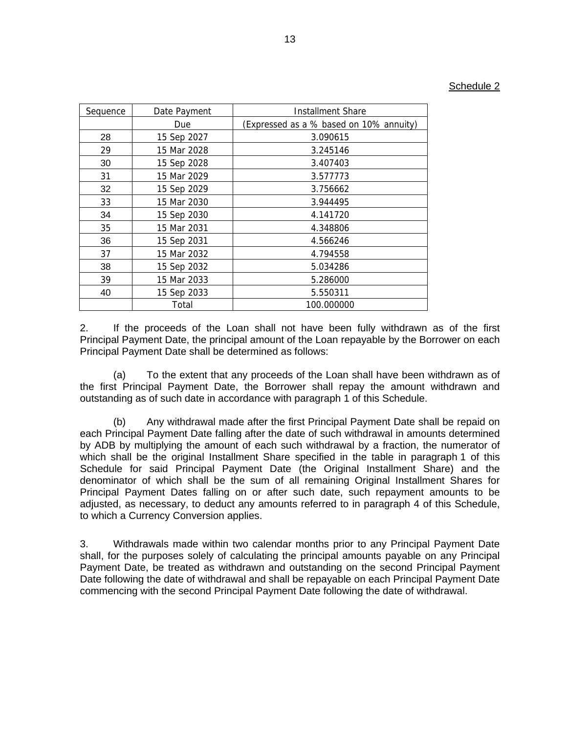| Sequence | Date Payment | Installment Share                       |  |  |  |
|----------|--------------|-----------------------------------------|--|--|--|
|          | Due          | (Expressed as a % based on 10% annuity) |  |  |  |
| 28       | 15 Sep 2027  | 3.090615                                |  |  |  |
| 29       | 15 Mar 2028  | 3.245146                                |  |  |  |
| 30       | 15 Sep 2028  | 3.407403                                |  |  |  |
| 31       | 15 Mar 2029  | 3.577773                                |  |  |  |
| 32       | 15 Sep 2029  | 3.756662                                |  |  |  |
| 33       | 15 Mar 2030  | 3.944495                                |  |  |  |
| 34       | 15 Sep 2030  | 4.141720                                |  |  |  |
| 35       | 15 Mar 2031  | 4.348806                                |  |  |  |
| 36       | 15 Sep 2031  | 4.566246                                |  |  |  |
| 37       | 15 Mar 2032  | 4.794558                                |  |  |  |
| 38       | 15 Sep 2032  | 5.034286                                |  |  |  |
| 39       | 15 Mar 2033  | 5.286000                                |  |  |  |
| 40       | 15 Sep 2033  | 5.550311                                |  |  |  |
|          | Total        | 100.000000                              |  |  |  |

2. If the proceeds of the Loan shall not have been fully withdrawn as of the first Principal Payment Date, the principal amount of the Loan repayable by the Borrower on each Principal Payment Date shall be determined as follows:

(a) To the extent that any proceeds of the Loan shall have been withdrawn as of the first Principal Payment Date, the Borrower shall repay the amount withdrawn and outstanding as of such date in accordance with paragraph 1 of this Schedule.

(b) Any withdrawal made after the first Principal Payment Date shall be repaid on each Principal Payment Date falling after the date of such withdrawal in amounts determined by ADB by multiplying the amount of each such withdrawal by a fraction, the numerator of which shall be the original Installment Share specified in the table in paragraph 1 of this Schedule for said Principal Payment Date (the Original Installment Share) and the denominator of which shall be the sum of all remaining Original Installment Shares for Principal Payment Dates falling on or after such date, such repayment amounts to be adjusted, as necessary, to deduct any amounts referred to in paragraph 4 of this Schedule, to which a Currency Conversion applies.

3. Withdrawals made within two calendar months prior to any Principal Payment Date shall, for the purposes solely of calculating the principal amounts payable on any Principal Payment Date, be treated as withdrawn and outstanding on the second Principal Payment Date following the date of withdrawal and shall be repayable on each Principal Payment Date commencing with the second Principal Payment Date following the date of withdrawal.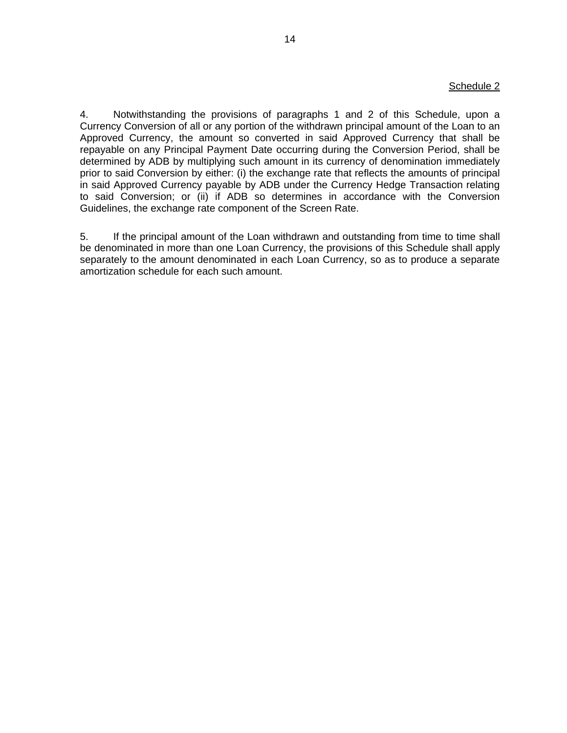## Schedule 2

4. Notwithstanding the provisions of paragraphs 1 and 2 of this Schedule, upon a Currency Conversion of all or any portion of the withdrawn principal amount of the Loan to an Approved Currency, the amount so converted in said Approved Currency that shall be repayable on any Principal Payment Date occurring during the Conversion Period, shall be determined by ADB by multiplying such amount in its currency of denomination immediately prior to said Conversion by either: (i) the exchange rate that reflects the amounts of principal in said Approved Currency payable by ADB under the Currency Hedge Transaction relating to said Conversion; or (ii) if ADB so determines in accordance with the Conversion Guidelines, the exchange rate component of the Screen Rate.

5. If the principal amount of the Loan withdrawn and outstanding from time to time shall be denominated in more than one Loan Currency, the provisions of this Schedule shall apply separately to the amount denominated in each Loan Currency, so as to produce a separate amortization schedule for each such amount.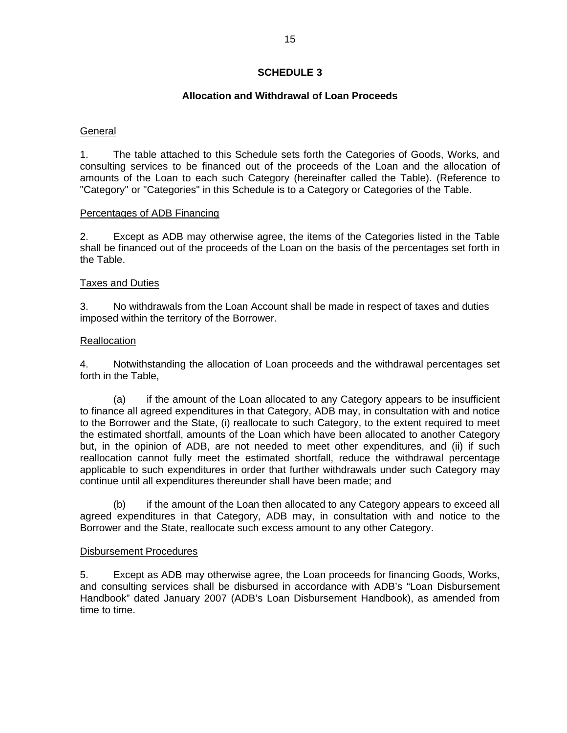## **SCHEDULE 3**

## **Allocation and Withdrawal of Loan Proceeds**

## **General**

1. The table attached to this Schedule sets forth the Categories of Goods, Works, and consulting services to be financed out of the proceeds of the Loan and the allocation of amounts of the Loan to each such Category (hereinafter called the Table). (Reference to "Category" or "Categories" in this Schedule is to a Category or Categories of the Table.

## Percentages of ADB Financing

2. Except as ADB may otherwise agree, the items of the Categories listed in the Table shall be financed out of the proceeds of the Loan on the basis of the percentages set forth in the Table.

## Taxes and Duties

3. No withdrawals from the Loan Account shall be made in respect of taxes and duties imposed within the territory of the Borrower.

## Reallocation

4. Notwithstanding the allocation of Loan proceeds and the withdrawal percentages set forth in the Table,

 (a) if the amount of the Loan allocated to any Category appears to be insufficient to finance all agreed expenditures in that Category, ADB may, in consultation with and notice to the Borrower and the State, (i) reallocate to such Category, to the extent required to meet the estimated shortfall, amounts of the Loan which have been allocated to another Category but, in the opinion of ADB, are not needed to meet other expenditures, and (ii) if such reallocation cannot fully meet the estimated shortfall, reduce the withdrawal percentage applicable to such expenditures in order that further withdrawals under such Category may continue until all expenditures thereunder shall have been made; and

 (b) if the amount of the Loan then allocated to any Category appears to exceed all agreed expenditures in that Category, ADB may, in consultation with and notice to the Borrower and the State, reallocate such excess amount to any other Category.

## Disbursement Procedures

5. Except as ADB may otherwise agree, the Loan proceeds for financing Goods, Works, and consulting services shall be disbursed in accordance with ADB's "Loan Disbursement Handbook" dated January 2007 (ADB's Loan Disbursement Handbook), as amended from time to time.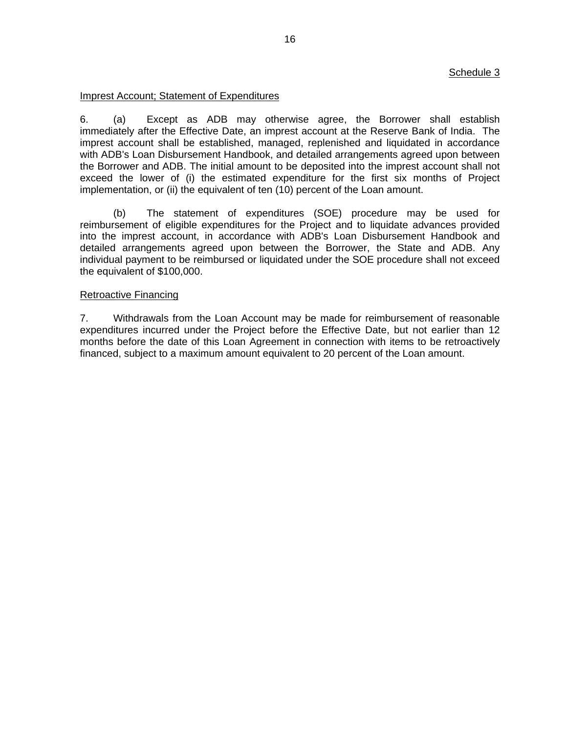## Schedule 3

## Imprest Account; Statement of Expenditures

6. (a) Except as ADB may otherwise agree, the Borrower shall establish immediately after the Effective Date, an imprest account at the Reserve Bank of India. The imprest account shall be established, managed, replenished and liquidated in accordance with ADB's Loan Disbursement Handbook, and detailed arrangements agreed upon between the Borrower and ADB. The initial amount to be deposited into the imprest account shall not exceed the lower of (i) the estimated expenditure for the first six months of Project implementation, or (ii) the equivalent of ten (10) percent of the Loan amount.

 (b) The statement of expenditures (SOE) procedure may be used for reimbursement of eligible expenditures for the Project and to liquidate advances provided into the imprest account, in accordance with ADB's Loan Disbursement Handbook and detailed arrangements agreed upon between the Borrower, the State and ADB. Any individual payment to be reimbursed or liquidated under the SOE procedure shall not exceed the equivalent of \$100,000.

## Retroactive Financing

7. Withdrawals from the Loan Account may be made for reimbursement of reasonable expenditures incurred under the Project before the Effective Date, but not earlier than 12 months before the date of this Loan Agreement in connection with items to be retroactively financed, subject to a maximum amount equivalent to 20 percent of the Loan amount.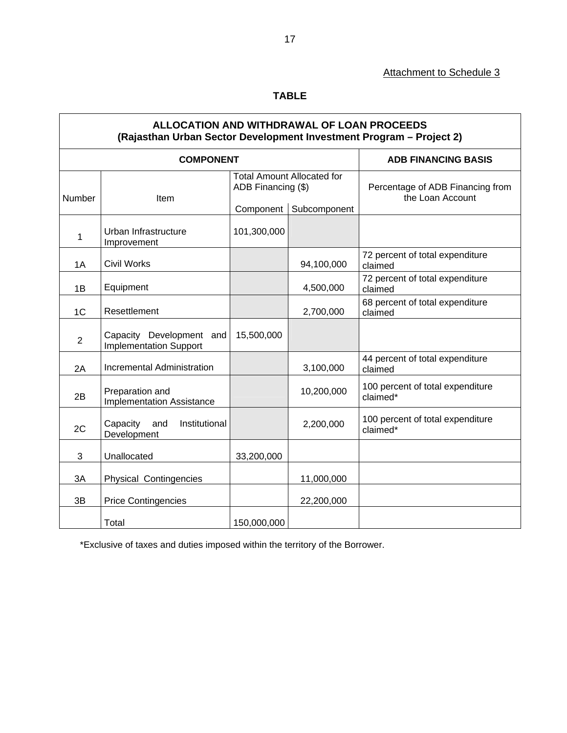# Attachment to Schedule 3

# **TABLE**

# **ALLOCATION AND WITHDRAWAL OF LOAN PROCEEDS (Rajasthan Urban Sector Development Investment Program – Project 2)**

|                | <b>COMPONENT</b>                                          | <b>ADB FINANCING BASIS</b>                              |              |                                                      |
|----------------|-----------------------------------------------------------|---------------------------------------------------------|--------------|------------------------------------------------------|
| Number<br>Item |                                                           | <b>Total Amount Allocated for</b><br>ADB Financing (\$) |              | Percentage of ADB Financing from<br>the Loan Account |
|                |                                                           | Component                                               | Subcomponent |                                                      |
| 1              | Urban Infrastructure<br>Improvement                       | 101,300,000                                             |              |                                                      |
| 1A             | <b>Civil Works</b>                                        |                                                         | 94,100,000   | 72 percent of total expenditure<br>claimed           |
| 1B             | Equipment                                                 |                                                         | 4,500,000    | 72 percent of total expenditure<br>claimed           |
| 1 <sup>C</sup> | Resettlement                                              |                                                         | 2,700,000    | 68 percent of total expenditure<br>claimed           |
| $\overline{2}$ | Capacity Development and<br><b>Implementation Support</b> | 15,500,000                                              |              |                                                      |
| 2A             | Incremental Administration                                |                                                         | 3,100,000    | 44 percent of total expenditure<br>claimed           |
| 2B             | Preparation and<br><b>Implementation Assistance</b>       |                                                         | 10,200,000   | 100 percent of total expenditure<br>claimed*         |
| 2C             | Capacity<br>and<br>Institutional<br>Development           |                                                         | 2,200,000    | 100 percent of total expenditure<br>claimed*         |
| 3              | Unallocated                                               | 33,200,000                                              |              |                                                      |
| 3A             | <b>Physical Contingencies</b>                             |                                                         | 11,000,000   |                                                      |
| 3B             | <b>Price Contingencies</b>                                |                                                         | 22,200,000   |                                                      |
|                | Total                                                     | 150,000,000                                             |              |                                                      |

\*Exclusive of taxes and duties imposed within the territory of the Borrower.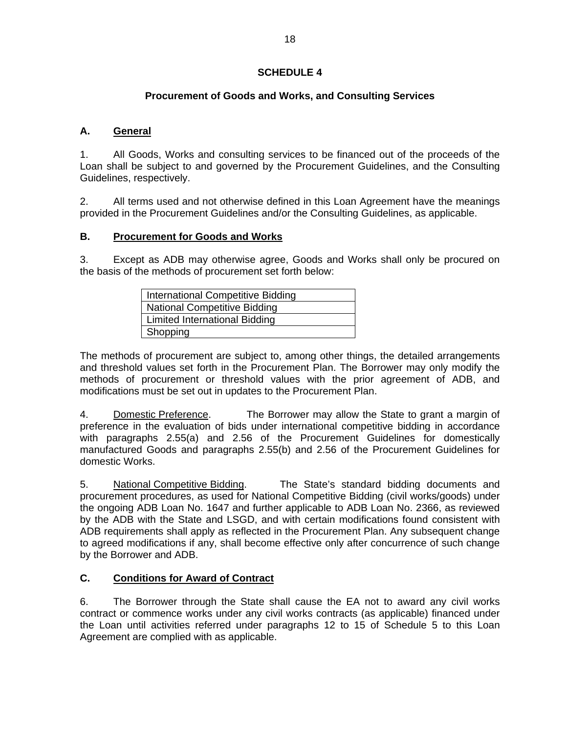# **SCHEDULE 4**

# **Procurement of Goods and Works, and Consulting Services**

# **A. General**

1. All Goods, Works and consulting services to be financed out of the proceeds of the Loan shall be subject to and governed by the Procurement Guidelines, and the Consulting Guidelines, respectively.

2. All terms used and not otherwise defined in this Loan Agreement have the meanings provided in the Procurement Guidelines and/or the Consulting Guidelines, as applicable.

## **B. Procurement for Goods and Works**

3. Except as ADB may otherwise agree, Goods and Works shall only be procured on the basis of the methods of procurement set forth below:

| International Competitive Bidding |  |  |
|-----------------------------------|--|--|
| National Competitive Bidding      |  |  |
| Limited International Bidding     |  |  |
| Shopping                          |  |  |

The methods of procurement are subject to, among other things, the detailed arrangements and threshold values set forth in the Procurement Plan. The Borrower may only modify the methods of procurement or threshold values with the prior agreement of ADB, and modifications must be set out in updates to the Procurement Plan.

4. Domestic Preference. The Borrower may allow the State to grant a margin of preference in the evaluation of bids under international competitive bidding in accordance with paragraphs 2.55(a) and 2.56 of the Procurement Guidelines for domestically manufactured Goods and paragraphs 2.55(b) and 2.56 of the Procurement Guidelines for domestic Works.

5. National Competitive Bidding. The State's standard bidding documents and procurement procedures, as used for National Competitive Bidding (civil works/goods) under the ongoing ADB Loan No. 1647 and further applicable to ADB Loan No. 2366, as reviewed by the ADB with the State and LSGD, and with certain modifications found consistent with ADB requirements shall apply as reflected in the Procurement Plan. Any subsequent change to agreed modifications if any, shall become effective only after concurrence of such change by the Borrower and ADB.

# **C. Conditions for Award of Contract**

6. The Borrower through the State shall cause the EA not to award any civil works contract or commence works under any civil works contracts (as applicable) financed under the Loan until activities referred under paragraphs 12 to 15 of Schedule 5 to this Loan Agreement are complied with as applicable.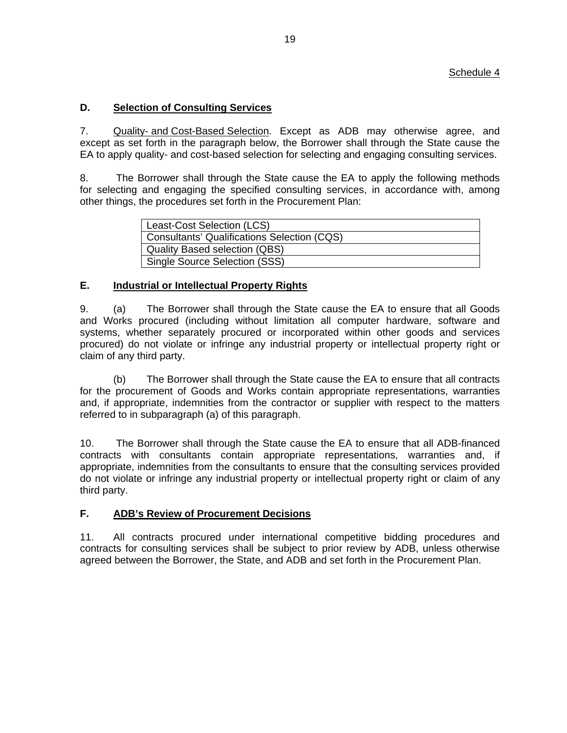# **D. Selection of Consulting Services**

7. Quality- and Cost-Based Selection. Except as ADB may otherwise agree, and except as set forth in the paragraph below, the Borrower shall through the State cause the EA to apply quality- and cost-based selection for selecting and engaging consulting services.

8. The Borrower shall through the State cause the EA to apply the following methods for selecting and engaging the specified consulting services, in accordance with, among other things, the procedures set forth in the Procurement Plan:

| Least-Cost Selection (LCS)                  |  |  |
|---------------------------------------------|--|--|
| Consultants' Qualifications Selection (CQS) |  |  |
| <b>Quality Based selection (QBS)</b>        |  |  |
| Single Source Selection (SSS)               |  |  |

# **E. Industrial or Intellectual Property Rights**

9. (a) The Borrower shall through the State cause the EA to ensure that all Goods and Works procured (including without limitation all computer hardware, software and systems, whether separately procured or incorporated within other goods and services procured) do not violate or infringe any industrial property or intellectual property right or claim of any third party.

 (b) The Borrower shall through the State cause the EA to ensure that all contracts for the procurement of Goods and Works contain appropriate representations, warranties and, if appropriate, indemnities from the contractor or supplier with respect to the matters referred to in subparagraph (a) of this paragraph.

10. The Borrower shall through the State cause the EA to ensure that all ADB-financed contracts with consultants contain appropriate representations, warranties and, if appropriate, indemnities from the consultants to ensure that the consulting services provided do not violate or infringe any industrial property or intellectual property right or claim of any third party.

# **F. ADB's Review of Procurement Decisions**

11. All contracts procured under international competitive bidding procedures and contracts for consulting services shall be subject to prior review by ADB, unless otherwise agreed between the Borrower, the State, and ADB and set forth in the Procurement Plan.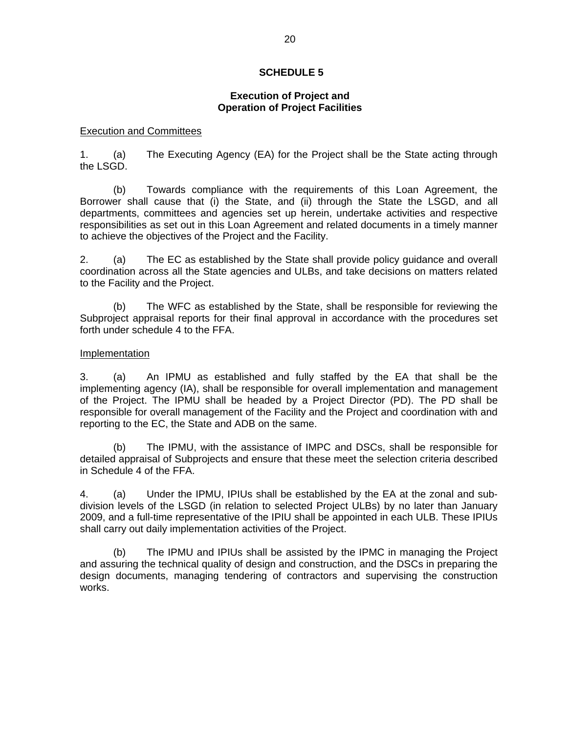## **SCHEDULE 5**

## **Execution of Project and Operation of Project Facilities**

### Execution and Committees

1. (a) The Executing Agency (EA) for the Project shall be the State acting through the LSGD.

 (b) Towards compliance with the requirements of this Loan Agreement, the Borrower shall cause that (i) the State, and (ii) through the State the LSGD, and all departments, committees and agencies set up herein, undertake activities and respective responsibilities as set out in this Loan Agreement and related documents in a timely manner to achieve the objectives of the Project and the Facility.

2. (a) The EC as established by the State shall provide policy guidance and overall coordination across all the State agencies and ULBs, and take decisions on matters related to the Facility and the Project.

 (b) The WFC as established by the State, shall be responsible for reviewing the Subproject appraisal reports for their final approval in accordance with the procedures set forth under schedule 4 to the FFA.

### Implementation

3. (a) An IPMU as established and fully staffed by the EA that shall be the implementing agency (IA), shall be responsible for overall implementation and management of the Project. The IPMU shall be headed by a Project Director (PD). The PD shall be responsible for overall management of the Facility and the Project and coordination with and reporting to the EC, the State and ADB on the same.

 (b) The IPMU, with the assistance of IMPC and DSCs, shall be responsible for detailed appraisal of Subprojects and ensure that these meet the selection criteria described in Schedule 4 of the FFA.

4. (a) Under the IPMU, IPIUs shall be established by the EA at the zonal and subdivision levels of the LSGD (in relation to selected Project ULBs) by no later than January 2009, and a full-time representative of the IPIU shall be appointed in each ULB. These IPIUs shall carry out daily implementation activities of the Project.

(b) The IPMU and IPIUs shall be assisted by the IPMC in managing the Project and assuring the technical quality of design and construction, and the DSCs in preparing the design documents, managing tendering of contractors and supervising the construction works.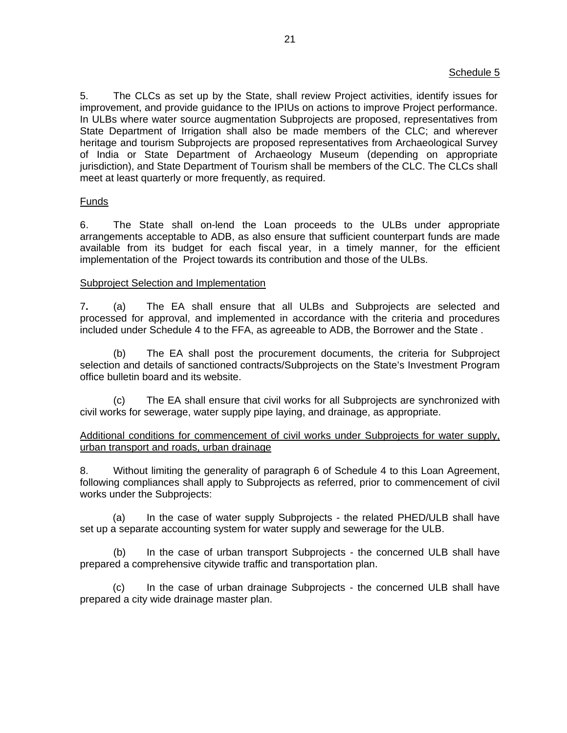## Schedule 5

5. The CLCs as set up by the State, shall review Project activities, identify issues for improvement, and provide guidance to the IPIUs on actions to improve Project performance. In ULBs where water source augmentation Subprojects are proposed, representatives from State Department of Irrigation shall also be made members of the CLC; and wherever heritage and tourism Subprojects are proposed representatives from Archaeological Survey of India or State Department of Archaeology Museum (depending on appropriate jurisdiction), and State Department of Tourism shall be members of the CLC. The CLCs shall meet at least quarterly or more frequently, as required.

### Funds

6. The State shall on-lend the Loan proceeds to the ULBs under appropriate arrangements acceptable to ADB, as also ensure that sufficient counterpart funds are made available from its budget for each fiscal year, in a timely manner, for the efficient implementation of the Project towards its contribution and those of the ULBs.

### Subproject Selection and Implementation

7**.** (a) The EA shall ensure that all ULBs and Subprojects are selected and processed for approval, and implemented in accordance with the criteria and procedures included under Schedule 4 to the FFA, as agreeable to ADB, the Borrower and the State .

(b) The EA shall post the procurement documents, the criteria for Subproject selection and details of sanctioned contracts/Subprojects on the State's Investment Program office bulletin board and its website.

(c) The EA shall ensure that civil works for all Subprojects are synchronized with civil works for sewerage, water supply pipe laying, and drainage, as appropriate.

## Additional conditions for commencement of civil works under Subprojects for water supply, urban transport and roads, urban drainage

8. Without limiting the generality of paragraph 6 of Schedule 4 to this Loan Agreement, following compliances shall apply to Subprojects as referred, prior to commencement of civil works under the Subprojects:

(a) In the case of water supply Subprojects - the related PHED/ULB shall have set up a separate accounting system for water supply and sewerage for the ULB.

 (b) In the case of urban transport Subprojects - the concerned ULB shall have prepared a comprehensive citywide traffic and transportation plan.

(c) In the case of urban drainage Subprojects - the concerned ULB shall have prepared a city wide drainage master plan.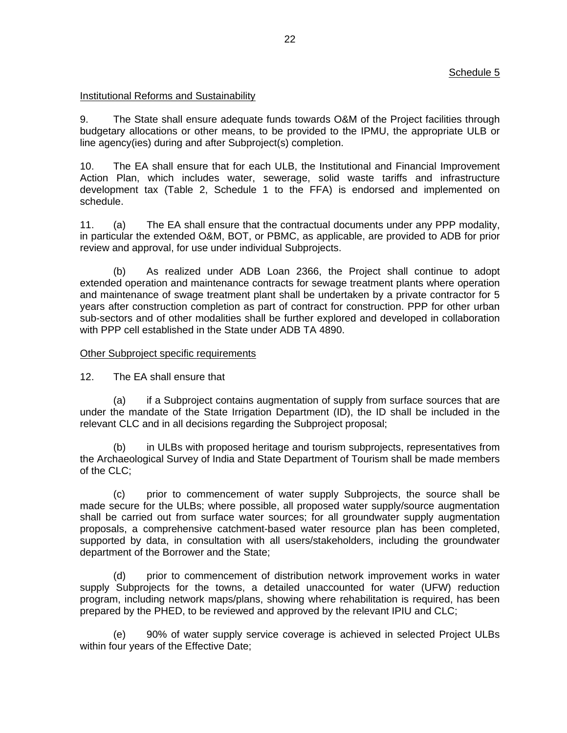## Schedule 5

## Institutional Reforms and Sustainability

9. The State shall ensure adequate funds towards O&M of the Project facilities through budgetary allocations or other means, to be provided to the IPMU, the appropriate ULB or line agency(ies) during and after Subproject(s) completion.

10. The EA shall ensure that for each ULB, the Institutional and Financial Improvement Action Plan, which includes water, sewerage, solid waste tariffs and infrastructure development tax (Table 2, Schedule 1 to the FFA) is endorsed and implemented on schedule.

11. (a) The EA shall ensure that the contractual documents under any PPP modality, in particular the extended O&M, BOT, or PBMC, as applicable, are provided to ADB for prior review and approval, for use under individual Subprojects.

 (b) As realized under ADB Loan 2366, the Project shall continue to adopt extended operation and maintenance contracts for sewage treatment plants where operation and maintenance of swage treatment plant shall be undertaken by a private contractor for 5 years after construction completion as part of contract for construction. PPP for other urban sub-sectors and of other modalities shall be further explored and developed in collaboration with PPP cell established in the State under ADB TA 4890.

## Other Subproject specific requirements

12. The EA shall ensure that

(a) if a Subproject contains augmentation of supply from surface sources that are under the mandate of the State Irrigation Department (ID), the ID shall be included in the relevant CLC and in all decisions regarding the Subproject proposal;

(b) in ULBs with proposed heritage and tourism subprojects, representatives from the Archaeological Survey of India and State Department of Tourism shall be made members of the CLC;

(c) prior to commencement of water supply Subprojects, the source shall be made secure for the ULBs; where possible, all proposed water supply/source augmentation shall be carried out from surface water sources; for all groundwater supply augmentation proposals, a comprehensive catchment-based water resource plan has been completed, supported by data, in consultation with all users/stakeholders, including the groundwater department of the Borrower and the State;

(d) prior to commencement of distribution network improvement works in water supply Subprojects for the towns, a detailed unaccounted for water (UFW) reduction program, including network maps/plans, showing where rehabilitation is required, has been prepared by the PHED, to be reviewed and approved by the relevant IPIU and CLC;

(e) 90% of water supply service coverage is achieved in selected Project ULBs within four years of the Effective Date;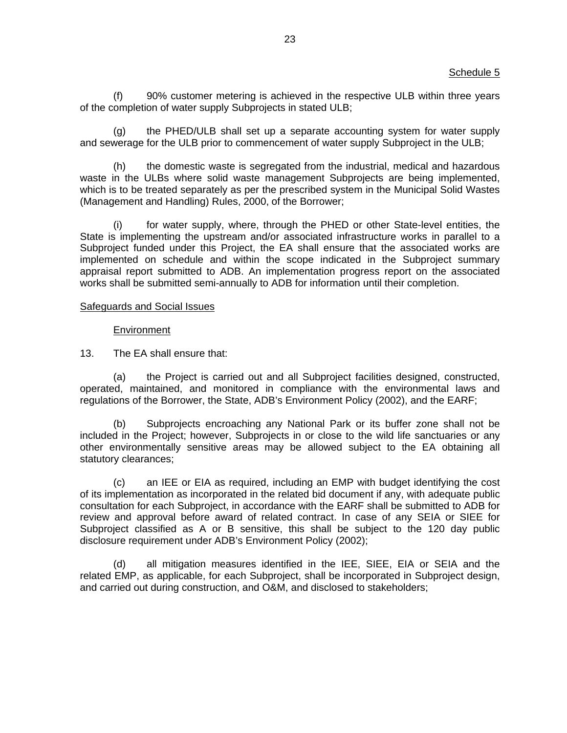(f) 90% customer metering is achieved in the respective ULB within three years of the completion of water supply Subprojects in stated ULB;

(g) the PHED/ULB shall set up a separate accounting system for water supply and sewerage for the ULB prior to commencement of water supply Subproject in the ULB;

(h) the domestic waste is segregated from the industrial, medical and hazardous waste in the ULBs where solid waste management Subprojects are being implemented, which is to be treated separately as per the prescribed system in the Municipal Solid Wastes (Management and Handling) Rules, 2000, of the Borrower;

(i) for water supply, where, through the PHED or other State-level entities, the State is implementing the upstream and/or associated infrastructure works in parallel to a Subproject funded under this Project, the EA shall ensure that the associated works are implemented on schedule and within the scope indicated in the Subproject summary appraisal report submitted to ADB. An implementation progress report on the associated works shall be submitted semi-annually to ADB for information until their completion.

### Safeguards and Social Issues

### **Environment**

13. The EA shall ensure that:

(a) the Project is carried out and all Subproject facilities designed, constructed, operated, maintained, and monitored in compliance with the environmental laws and regulations of the Borrower, the State, ADB's Environment Policy (2002), and the EARF;

(b) Subprojects encroaching any National Park or its buffer zone shall not be included in the Project; however, Subprojects in or close to the wild life sanctuaries or any other environmentally sensitive areas may be allowed subject to the EA obtaining all statutory clearances;

(c) an IEE or EIA as required, including an EMP with budget identifying the cost of its implementation as incorporated in the related bid document if any, with adequate public consultation for each Subproject, in accordance with the EARF shall be submitted to ADB for review and approval before award of related contract. In case of any SEIA or SIEE for Subproject classified as A or B sensitive, this shall be subject to the 120 day public disclosure requirement under ADB's Environment Policy (2002);

(d) all mitigation measures identified in the IEE, SIEE, EIA or SEIA and the related EMP, as applicable, for each Subproject, shall be incorporated in Subproject design, and carried out during construction, and O&M, and disclosed to stakeholders;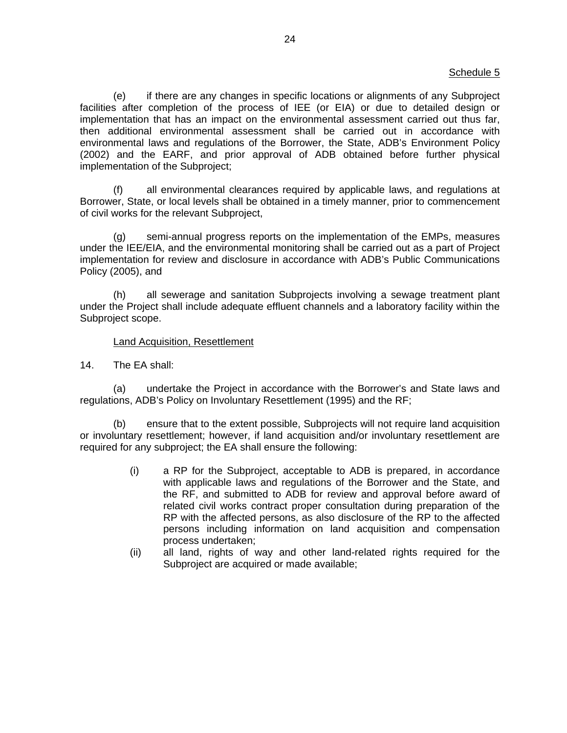## Schedule 5

(e) if there are any changes in specific locations or alignments of any Subproject facilities after completion of the process of IEE (or EIA) or due to detailed design or implementation that has an impact on the environmental assessment carried out thus far, then additional environmental assessment shall be carried out in accordance with environmental laws and regulations of the Borrower, the State, ADB's Environment Policy (2002) and the EARF, and prior approval of ADB obtained before further physical implementation of the Subproject;

(f) all environmental clearances required by applicable laws, and regulations at Borrower, State, or local levels shall be obtained in a timely manner, prior to commencement of civil works for the relevant Subproject,

(g) semi-annual progress reports on the implementation of the EMPs, measures under the IEE/EIA, and the environmental monitoring shall be carried out as a part of Project implementation for review and disclosure in accordance with ADB's Public Communications Policy (2005), and

(h) all sewerage and sanitation Subprojects involving a sewage treatment plant under the Project shall include adequate effluent channels and a laboratory facility within the Subproject scope.

### Land Acquisition, Resettlement

14. The EA shall:

(a) undertake the Project in accordance with the Borrower's and State laws and regulations, ADB's Policy on Involuntary Resettlement (1995) and the RF;

(b) ensure that to the extent possible, Subprojects will not require land acquisition or involuntary resettlement; however, if land acquisition and/or involuntary resettlement are required for any subproject; the EA shall ensure the following:

- (i) a RP for the Subproject, acceptable to ADB is prepared, in accordance with applicable laws and regulations of the Borrower and the State, and the RF, and submitted to ADB for review and approval before award of related civil works contract proper consultation during preparation of the RP with the affected persons, as also disclosure of the RP to the affected persons including information on land acquisition and compensation process undertaken;
- (ii) all land, rights of way and other land-related rights required for the Subproject are acquired or made available;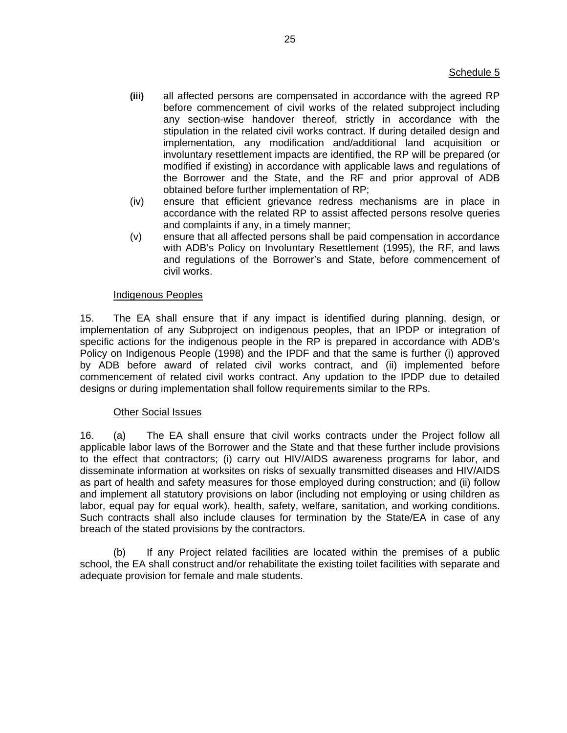- **(iii)** all affected persons are compensated in accordance with the agreed RP before commencement of civil works of the related subproject including any section-wise handover thereof, strictly in accordance with the stipulation in the related civil works contract. If during detailed design and implementation, any modification and/additional land acquisition or involuntary resettlement impacts are identified, the RP will be prepared (or modified if existing) in accordance with applicable laws and regulations of the Borrower and the State, and the RF and prior approval of ADB obtained before further implementation of RP;
- (iv) ensure that efficient grievance redress mechanisms are in place in accordance with the related RP to assist affected persons resolve queries and complaints if any, in a timely manner;
- (v) ensure that all affected persons shall be paid compensation in accordance with ADB's Policy on Involuntary Resettlement (1995), the RF, and laws and regulations of the Borrower's and State, before commencement of civil works.

## Indigenous Peoples

15. The EA shall ensure that if any impact is identified during planning, design, or implementation of any Subproject on indigenous peoples, that an IPDP or integration of specific actions for the indigenous people in the RP is prepared in accordance with ADB's Policy on Indigenous People (1998) and the IPDF and that the same is further (i) approved by ADB before award of related civil works contract, and (ii) implemented before commencement of related civil works contract. Any updation to the IPDP due to detailed designs or during implementation shall follow requirements similar to the RPs.

# Other Social Issues

16. (a) The EA shall ensure that civil works contracts under the Project follow all applicable labor laws of the Borrower and the State and that these further include provisions to the effect that contractors; (i) carry out HIV/AIDS awareness programs for labor, and disseminate information at worksites on risks of sexually transmitted diseases and HIV/AIDS as part of health and safety measures for those employed during construction; and (ii) follow and implement all statutory provisions on labor (including not employing or using children as labor, equal pay for equal work), health, safety, welfare, sanitation, and working conditions. Such contracts shall also include clauses for termination by the State/EA in case of any breach of the stated provisions by the contractors.

 (b) If any Project related facilities are located within the premises of a public school, the EA shall construct and/or rehabilitate the existing toilet facilities with separate and adequate provision for female and male students.